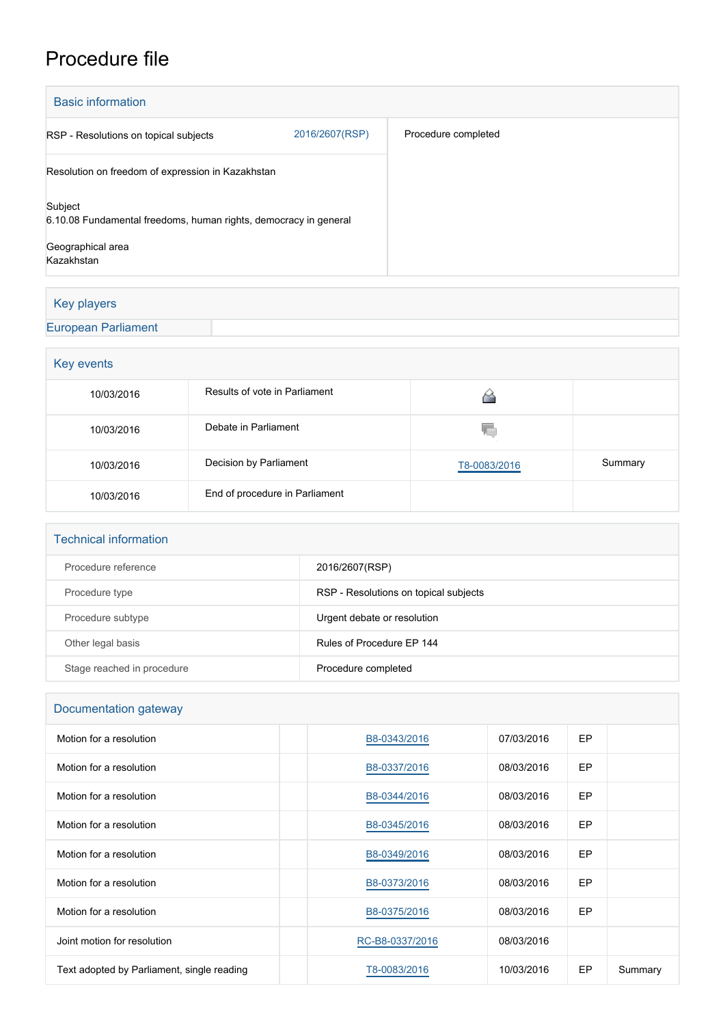## Procedure file

| <b>Basic information</b>                                                                                       |                |                     |  |  |
|----------------------------------------------------------------------------------------------------------------|----------------|---------------------|--|--|
| RSP - Resolutions on topical subjects                                                                          | 2016/2607(RSP) | Procedure completed |  |  |
| Resolution on freedom of expression in Kazakhstan                                                              |                |                     |  |  |
| Subject<br>6.10.08 Fundamental freedoms, human rights, democracy in general<br>Geographical area<br>Kazakhstan |                |                     |  |  |

## Key players

## [European Parliament](http://www.europarl.europa.eu/)

| Key events |                                |              |         |  |  |
|------------|--------------------------------|--------------|---------|--|--|
| 10/03/2016 | Results of vote in Parliament  |              |         |  |  |
| 10/03/2016 | Debate in Parliament           | V.           |         |  |  |
| 10/03/2016 | Decision by Parliament         | T8-0083/2016 | Summary |  |  |
| 10/03/2016 | End of procedure in Parliament |              |         |  |  |

| <b>Technical information</b> |                                       |
|------------------------------|---------------------------------------|
| Procedure reference          | 2016/2607(RSP)                        |
| Procedure type               | RSP - Resolutions on topical subjects |
| Procedure subtype            | Urgent debate or resolution           |
| Other legal basis            | Rules of Procedure FP 144             |
| Stage reached in procedure   | Procedure completed                   |

| Documentation gateway                      |                 |            |    |         |  |  |
|--------------------------------------------|-----------------|------------|----|---------|--|--|
| Motion for a resolution                    | B8-0343/2016    | 07/03/2016 | EP |         |  |  |
| Motion for a resolution                    | B8-0337/2016    | 08/03/2016 | EP |         |  |  |
| Motion for a resolution                    | B8-0344/2016    | 08/03/2016 | EP |         |  |  |
| Motion for a resolution                    | B8-0345/2016    | 08/03/2016 | EP |         |  |  |
| Motion for a resolution                    | B8-0349/2016    | 08/03/2016 | EP |         |  |  |
| Motion for a resolution                    | B8-0373/2016    | 08/03/2016 | EP |         |  |  |
| Motion for a resolution                    | B8-0375/2016    | 08/03/2016 | EP |         |  |  |
| Joint motion for resolution                | RC-B8-0337/2016 | 08/03/2016 |    |         |  |  |
| Text adopted by Parliament, single reading | T8-0083/2016    | 10/03/2016 | EP | Summary |  |  |